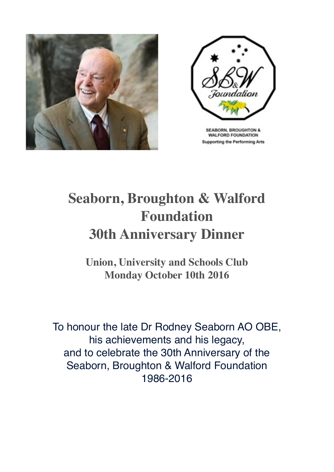



**SEABORN, BROUGHTON & WALFORD FOUNDATION Supporting the Performing Arts** 

## **Seaborn, Broughton & Walford Foundation 30th Anniversary Dinner**

**Union, University and Schools Club Monday October 10th 2016**

To honour the late Dr Rodney Seaborn AO OBE, his achievements and his legacy, and to celebrate the 30th Anniversary of the Seaborn, Broughton & Walford Foundation 1986-2016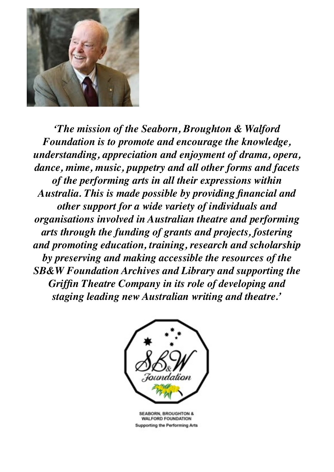

*'The mission of the Seaborn, Broughton & Walford Foundation is to promote and encourage the knowledge, understanding, appreciation and enjoyment of drama, opera, dance, mime, music, puppetry and all other forms and facets of the performing arts in all their expressions within Australia. This is made possible by providing financial and other support for a wide variety of individuals and organisations involved in Australian theatre and performing arts through the funding of grants and projects, fostering and promoting education, training, research and scholarship by preserving and making accessible the resources of the SB&W Foundation Archives and Library and supporting the Griffin Theatre Company in its role of developing and staging leading new Australian writing and theatre.'*



**SEABORN, BROUGHTON & WALFORD FOUNDATION Supporting the Performing Arts**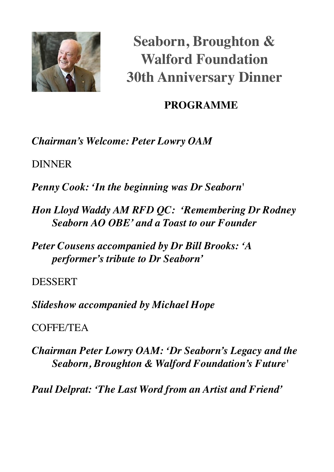

**Seaborn, Broughton & Walford Foundation 30th Anniversary Dinner**

## **PROGRAMME**

*Chairman's Welcome: Peter Lowry OAM*

DINNER

*Penny Cook: 'In the beginning was Dr Seaborn'*

*Hon Lloyd Waddy AM RFD QC: 'Remembering Dr Rodney Seaborn AO OBE' and a Toast to our Founder*

*Peter Cousens accompanied by Dr Bill Brooks: 'A performer's tribute to Dr Seaborn'*

DESSERT

*Slideshow accompanied by Michael Hope*

COFFE/TEA

*Chairman Peter Lowry OAM: 'Dr Seaborn's Legacy and the Seaborn, Broughton & Walford Foundation's Future'*

*Paul Delprat: 'The Last Word from an Artist and Friend'*